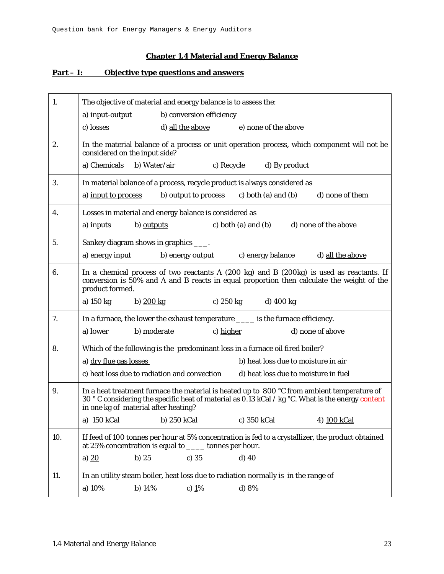## **Chapter 1.4 Material and Energy Balance**

## **Part – I: Objective type questions and answers**

| 1.  |                               | The objective of material and energy balance is to assess the:                     |                     |                                      |                                                                                                                                                                                                            |  |
|-----|-------------------------------|------------------------------------------------------------------------------------|---------------------|--------------------------------------|------------------------------------------------------------------------------------------------------------------------------------------------------------------------------------------------------------|--|
|     | a) input-output               | b) conversion efficiency                                                           |                     |                                      |                                                                                                                                                                                                            |  |
|     | c) losses                     | d) all the above                                                                   |                     | e) none of the above                 |                                                                                                                                                                                                            |  |
| 2.  | considered on the input side? |                                                                                    |                     |                                      | In the material balance of a process or unit operation process, which component will not be                                                                                                                |  |
|     | a) Chemicals                  | b) Water/air                                                                       | c) Recycle          | d) By product                        |                                                                                                                                                                                                            |  |
| 3.  |                               | In material balance of a process, recycle product is always considered as          |                     |                                      |                                                                                                                                                                                                            |  |
|     | a) input to process           | b) output to process                                                               |                     | c) both (a) and (b)                  | d) none of them                                                                                                                                                                                            |  |
| 4.  |                               | Losses in material and energy balance is considered as                             |                     |                                      |                                                                                                                                                                                                            |  |
|     | a) inputs                     | b) outputs                                                                         | c) both (a) and (b) |                                      | d) none of the above                                                                                                                                                                                       |  |
| 5.  |                               | Sankey diagram shows in graphics ____.                                             |                     |                                      |                                                                                                                                                                                                            |  |
|     | a) energy input               | b) energy output                                                                   |                     | c) energy balance                    | d) all the above                                                                                                                                                                                           |  |
| 6.  | product formed.               |                                                                                    |                     |                                      | In a chemical process of two reactants A $(200 \text{ kg})$ and B $(200 \text{ kg})$ is used as reactants. If<br>conversion is 50% and A and B reacts in equal proportion then calculate the weight of the |  |
|     | a) 150 kg                     | b) $200 \text{ kg}$                                                                | c) 250 kg d) 400 kg |                                      |                                                                                                                                                                                                            |  |
| 7.  |                               | In a furnace, the lower the exhaust temperature _____ is the furnace efficiency.   |                     |                                      |                                                                                                                                                                                                            |  |
|     | a) lower                      | b) moderate                                                                        | c) higher           |                                      | d) none of above                                                                                                                                                                                           |  |
| 8.  |                               | Which of the following is the predominant loss in a furnace oil fired boiler?      |                     |                                      |                                                                                                                                                                                                            |  |
|     | a) dry flue gas losses        |                                                                                    |                     | b) heat loss due to moisture in air  |                                                                                                                                                                                                            |  |
|     |                               | c) heat loss due to radiation and convection                                       |                     | d) heat loss due to moisture in fuel |                                                                                                                                                                                                            |  |
| 9.  |                               | in one kg of material after heating?                                               |                     |                                      | In a heat treatment furnace the material is heated up to 800 °C from ambient temperature of<br>30 ° C considering the specific heat of material as 0.13 kCal / kg $\degree$ C. What is the energy content  |  |
|     |                               | a) 150 kCal b) 250 kCal c) 350 kCal                                                |                     |                                      | 4) 100 kCal                                                                                                                                                                                                |  |
| 10. |                               | at 25% concentration is equal to _____ tonnes per hour.                            |                     |                                      | If feed of 100 tonnes per hour at 5% concentration is fed to a crystallizer, the product obtained                                                                                                          |  |
|     | a) $20$                       | $c)$ 35<br>b)25                                                                    | d) 40               |                                      |                                                                                                                                                                                                            |  |
|     |                               |                                                                                    |                     |                                      |                                                                                                                                                                                                            |  |
| 11. |                               | In an utility steam boiler, heat loss due to radiation normally is in the range of |                     |                                      |                                                                                                                                                                                                            |  |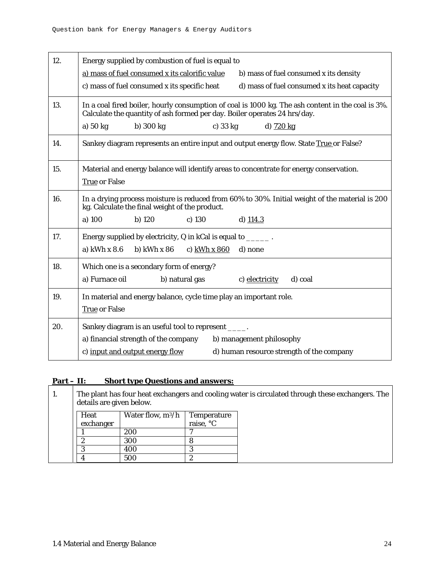| 12. | Energy supplied by combustion of fuel is equal to                                                                                                                              |
|-----|--------------------------------------------------------------------------------------------------------------------------------------------------------------------------------|
|     | a) mass of fuel consumed x its calorific value<br>b) mass of fuel consumed x its density                                                                                       |
|     | c) mass of fuel consumed x its specific heat<br>d) mass of fuel consumed x its heat capacity                                                                                   |
| 13. | In a coal fired boiler, hourly consumption of coal is 1000 kg. The ash content in the coal is 3%.<br>Calculate the quantity of ash formed per day. Boiler operates 24 hrs/day. |
|     | a) 50 kg<br>b) $300 kg$<br>c) $33 kg$<br>d) 720 kg                                                                                                                             |
| 14. | Sankey diagram represents an entire input and output energy flow. State True or False?                                                                                         |
| 15. | Material and energy balance will identify areas to concentrate for energy conservation.<br><b>True or False</b>                                                                |
| 16. | In a drying process moisture is reduced from 60% to 30%. Initial weight of the material is 200<br>kg. Calculate the final weight of the product.                               |
|     | a) 100<br>$b)$ 120<br>c) $130$<br>d) $114.3$                                                                                                                                   |
| 17. | Energy supplied by electricity, Q in kCal is equal to _______.                                                                                                                 |
|     | a) $kWh \times 8.6$<br>b) $kWh \times 86$<br>c) $kWh \times 860$<br>d) none                                                                                                    |
| 18. | Which one is a secondary form of energy?                                                                                                                                       |
|     | a) Furnace oil<br>b) natural gas<br>d) coal<br>c) electricity                                                                                                                  |
| 19. | In material and energy balance, cycle time play an important role.                                                                                                             |
|     | <b>True or False</b>                                                                                                                                                           |
| 20. | Sankey diagram is an useful tool to represent _____.                                                                                                                           |
|     | a) financial strength of the company<br>b) management philosophy                                                                                                               |
|     | c) input and output energy flow<br>d) human resource strength of the company                                                                                                   |

| $Part - II:$ |  |  | <b>Short type Questions and answers:</b> |
|--------------|--|--|------------------------------------------|
|              |  |  |                                          |

| 1. | The plant has four heat exchangers and cooling water is circulated through these exchangers. The<br>details are given below. |           |                     |             |  |  |  |
|----|------------------------------------------------------------------------------------------------------------------------------|-----------|---------------------|-------------|--|--|--|
|    |                                                                                                                              | Heat      | Water flow, $m^3/h$ | Temperature |  |  |  |
|    |                                                                                                                              | exchanger |                     | raise, °C   |  |  |  |
|    |                                                                                                                              |           | 200                 |             |  |  |  |
|    |                                                                                                                              | റ         | 300                 |             |  |  |  |
|    |                                                                                                                              | ິ         | 400                 |             |  |  |  |
|    |                                                                                                                              |           | 500                 |             |  |  |  |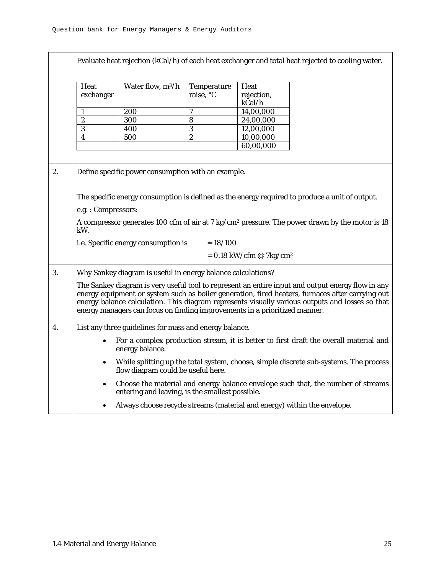|                  | Evaluate heat rejection (kCal/h) of each heat exchanger and total heat rejected to cooling water.                                                                                                                                                                                                                                                                                      |                                                                          |                          |                                       |                                                                                                |  |
|------------------|----------------------------------------------------------------------------------------------------------------------------------------------------------------------------------------------------------------------------------------------------------------------------------------------------------------------------------------------------------------------------------------|--------------------------------------------------------------------------|--------------------------|---------------------------------------|------------------------------------------------------------------------------------------------|--|
|                  | Heat<br>exchanger                                                                                                                                                                                                                                                                                                                                                                      | Water flow, m <sup>3</sup> /h                                            | Temperature<br>raise, °C | Heat<br>rejection,<br>kCal/h          |                                                                                                |  |
|                  | 1                                                                                                                                                                                                                                                                                                                                                                                      | 200                                                                      | 7                        | 14,00,000                             |                                                                                                |  |
|                  | $\boldsymbol{2}$                                                                                                                                                                                                                                                                                                                                                                       | 300                                                                      | 8                        | 24,00,000                             |                                                                                                |  |
|                  | 3                                                                                                                                                                                                                                                                                                                                                                                      | 400                                                                      | $\overline{3}$           | 12,00,000                             |                                                                                                |  |
|                  | 4                                                                                                                                                                                                                                                                                                                                                                                      | 500                                                                      | $\overline{c}$           | 10,00,000                             |                                                                                                |  |
|                  |                                                                                                                                                                                                                                                                                                                                                                                        |                                                                          |                          | 60,00,000                             |                                                                                                |  |
|                  |                                                                                                                                                                                                                                                                                                                                                                                        |                                                                          |                          |                                       |                                                                                                |  |
| 2.               |                                                                                                                                                                                                                                                                                                                                                                                        | Define specific power consumption with an example.                       |                          |                                       |                                                                                                |  |
|                  |                                                                                                                                                                                                                                                                                                                                                                                        |                                                                          |                          |                                       | The specific energy consumption is defined as the energy required to produce a unit of output. |  |
|                  | e.g.: Compressors:                                                                                                                                                                                                                                                                                                                                                                     |                                                                          |                          |                                       |                                                                                                |  |
|                  | A compressor generates 100 cfm of air at 7 kg/cm <sup>2</sup> pressure. The power drawn by the motor is 18<br>kW.                                                                                                                                                                                                                                                                      |                                                                          |                          |                                       |                                                                                                |  |
|                  |                                                                                                                                                                                                                                                                                                                                                                                        | i.e. Specific energy consumption is                                      | $= 18/100$               |                                       |                                                                                                |  |
|                  |                                                                                                                                                                                                                                                                                                                                                                                        |                                                                          |                          | $= 0.18$ kW/cfm @ 7kg/cm <sup>2</sup> |                                                                                                |  |
| 3.               |                                                                                                                                                                                                                                                                                                                                                                                        | Why Sankey diagram is useful in energy balance calculations?             |                          |                                       |                                                                                                |  |
|                  | The Sankey diagram is very useful tool to represent an entire input and output energy flow in any<br>energy equipment or system such as boiler generation, fired heaters, furnaces after carrying out<br>energy balance calculation. This diagram represents visually various outputs and losses so that<br>energy managers can focus on finding improvements in a prioritized manner. |                                                                          |                          |                                       |                                                                                                |  |
| $\overline{4}$ . |                                                                                                                                                                                                                                                                                                                                                                                        | List any three guidelines for mass and energy balance.                   |                          |                                       |                                                                                                |  |
|                  |                                                                                                                                                                                                                                                                                                                                                                                        | energy balance.                                                          |                          |                                       | For a complex production stream, it is better to first draft the overall material and          |  |
|                  | $\bullet$                                                                                                                                                                                                                                                                                                                                                                              | flow diagram could be useful here.                                       |                          |                                       | While splitting up the total system, choose, simple discrete sub-systems. The process          |  |
|                  | $\bullet$                                                                                                                                                                                                                                                                                                                                                                              | entering and leaving, is the smallest possible.                          |                          |                                       | Choose the material and energy balance envelope such that, the number of streams               |  |
|                  |                                                                                                                                                                                                                                                                                                                                                                                        | Always choose recycle streams (material and energy) within the envelope. |                          |                                       |                                                                                                |  |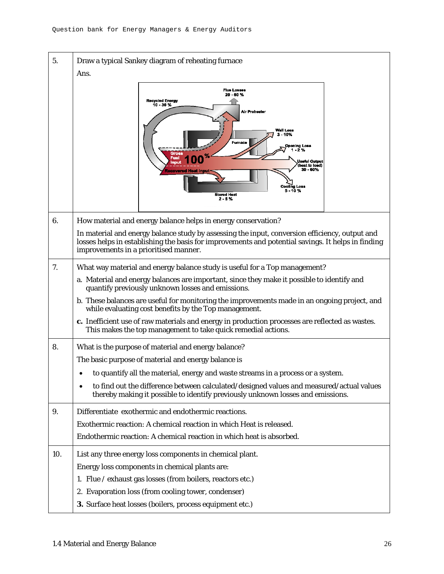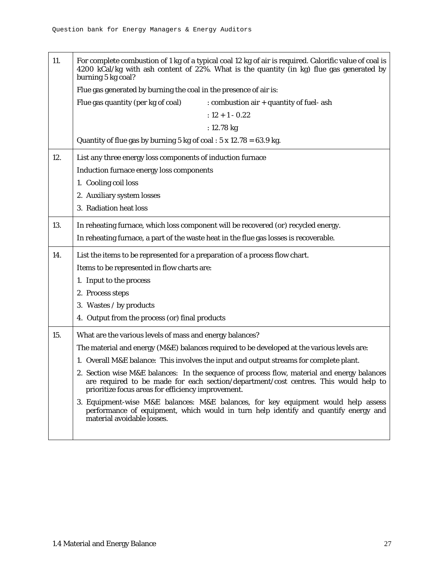| 11. | For complete combustion of 1 kg of a typical coal 12 kg of air is required. Calorific value of coal is<br>4200 kCal/kg with ash content of 22%. What is the quantity (in kg) flue gas generated by<br>burning 5 kg coal?                  |  |  |  |  |
|-----|-------------------------------------------------------------------------------------------------------------------------------------------------------------------------------------------------------------------------------------------|--|--|--|--|
|     | Flue gas generated by burning the coal in the presence of air is:                                                                                                                                                                         |  |  |  |  |
|     | Flue gas quantity (per kg of coal)<br>: combustion air + quantity of fuel- ash                                                                                                                                                            |  |  |  |  |
|     | $: 12 + 1 - 0.22$                                                                                                                                                                                                                         |  |  |  |  |
|     | : $12.78 \text{ kg}$                                                                                                                                                                                                                      |  |  |  |  |
|     | Quantity of flue gas by burning 5 kg of coal : $5 \times 12.78 = 63.9$ kg.                                                                                                                                                                |  |  |  |  |
| 12. | List any three energy loss components of induction furnace                                                                                                                                                                                |  |  |  |  |
|     | Induction furnace energy loss components                                                                                                                                                                                                  |  |  |  |  |
|     | 1. Cooling coil loss                                                                                                                                                                                                                      |  |  |  |  |
|     | 2. Auxiliary system losses                                                                                                                                                                                                                |  |  |  |  |
|     | 3. Radiation heat loss                                                                                                                                                                                                                    |  |  |  |  |
| 13. | In reheating furnace, which loss component will be recovered (or) recycled energy.                                                                                                                                                        |  |  |  |  |
|     | In reheating furnace, a part of the waste heat in the flue gas losses is recoverable.                                                                                                                                                     |  |  |  |  |
| 14. | List the items to be represented for a preparation of a process flow chart.                                                                                                                                                               |  |  |  |  |
|     | Items to be represented in flow charts are:                                                                                                                                                                                               |  |  |  |  |
|     | 1. Input to the process                                                                                                                                                                                                                   |  |  |  |  |
|     | 2. Process steps                                                                                                                                                                                                                          |  |  |  |  |
|     | 3. Wastes / by products                                                                                                                                                                                                                   |  |  |  |  |
|     | 4. Output from the process (or) final products                                                                                                                                                                                            |  |  |  |  |
| 15. | What are the various levels of mass and energy balances?                                                                                                                                                                                  |  |  |  |  |
|     | The material and energy (M&E) balances required to be developed at the various levels are:                                                                                                                                                |  |  |  |  |
|     | 1. Overall M&E balance: This involves the input and output streams for complete plant.                                                                                                                                                    |  |  |  |  |
|     | 2. Section wise M&E balances: In the sequence of process flow, material and energy balances<br>are required to be made for each section/department/cost centres. This would help to<br>prioritize focus areas for efficiency improvement. |  |  |  |  |
|     | 3. Equipment-wise M&E balances: M&E balances, for key equipment would help assess<br>performance of equipment, which would in turn help identify and quantify energy and<br>material avoidable losses.                                    |  |  |  |  |
|     |                                                                                                                                                                                                                                           |  |  |  |  |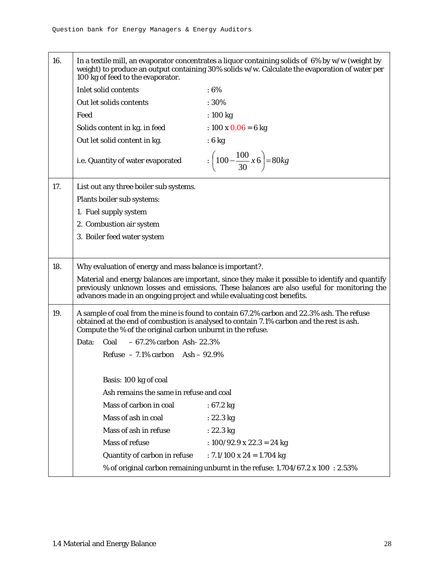16. In a textile mill, an evaporator concentrates a liquor containing solids of 6% by w/w (weight by weight) to produce an output containing 30% solids w/w. Calculate the evaporation of water per 100 kg of feed to the evaporator. Inlet solid contents : 6% Out let solids contents : 30% Feed : 100 kg Solids content in kg. in feed :  $100 \times 0.06 = 6$  kg Out let solid content in kg.  $\cdot$  6 kg i.e. Quantity of water evaporated  $\qquad : \left(100 - \frac{100}{30}x\,6\right) = 80kg$ ⎠  $\left(100 - \frac{100}{20} x 6\right)$ ⎝  $\Big(100 -$ 17. List out any three boiler sub systems. Plants boiler sub systems: 1. Fuel supply system 2. Combustion air system 3. Boiler feed water system 18. Why evaluation of energy and mass balance is important?. Material and energy balances are important, since they make it possible to identify and quantify previously unknown losses and emissions. These balances are also useful for monitoring the advances made in an ongoing project and while evaluating cost benefits. 19. A sample of coal from the mine is found to contain 67.2% carbon and 22.3% ash. The refuse obtained at the end of combustion is analysed to contain 7.1% carbon and the rest is ash. Compute the % of the original carbon unburnt in the refuse. Data: Coal – 67.2% carbon Ash- 22.3% Refuse  $-7.1\%$  carbon Ash  $-92.9\%$ Basis: 100 kg of coal Ash remains the same in refuse and coal Mass of carbon in coal : 67.2 kg Mass of ash in coal : 22.3 kg Mass of ash in refuse : 22.3 kg Mass of refuse : 100/92.9 x 22.3 = 24 kg Quantity of carbon in refuse  $\therefore$  7.1/100 x 24 = 1.704 kg % of original carbon remaining unburnt in the refuse:  $1.704/67.2 \times 100$  :  $2.53\%$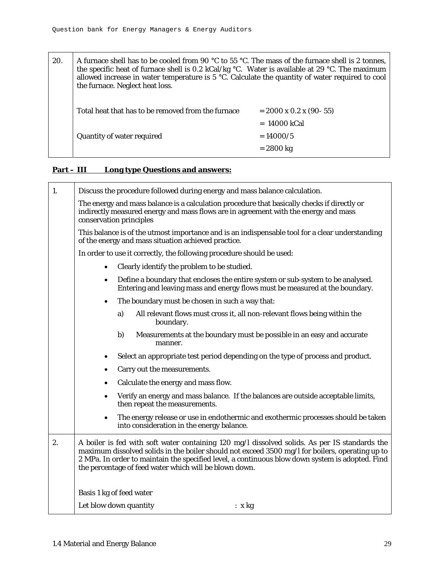20. A furnace shell has to be cooled from 90 °C to 55 °C. The mass of the furnace shell is 2 tonnes, the specific heat of furnace shell is 0.2 kCal/kg  $\degree$ C. Water is available at 29  $\degree$ C. The maximum allowed increase in water temperature is  $5 \degree C$ . Calculate the quantity of water required to cool the furnace. Neglect heat loss. Total heat that has to be removed from the furnace  $= 2000 \times 0.2 \times (90-55)$  = 14000 kCal  $\alpha$  Quantity of water required  $= 14000/5$  $= 2800$  kg

## **Part – III Long type Questions and answers:**

| 1. | Discuss the procedure followed during energy and mass balance calculation.                                                                                                                                                                                                                                                                                    |
|----|---------------------------------------------------------------------------------------------------------------------------------------------------------------------------------------------------------------------------------------------------------------------------------------------------------------------------------------------------------------|
|    | The energy and mass balance is a calculation procedure that basically checks if directly or<br>indirectly measured energy and mass flows are in agreement with the energy and mass<br>conservation principles                                                                                                                                                 |
|    | This balance is of the utmost importance and is an indispensable tool for a clear understanding<br>of the energy and mass situation achieved practice.                                                                                                                                                                                                        |
|    | In order to use it correctly, the following procedure should be used:                                                                                                                                                                                                                                                                                         |
|    | Clearly identify the problem to be studied.                                                                                                                                                                                                                                                                                                                   |
|    | Define a boundary that encloses the entire system or sub-system to be analysed.<br>Entering and leaving mass and energy flows must be measured at the boundary.                                                                                                                                                                                               |
|    | The boundary must be chosen in such a way that:                                                                                                                                                                                                                                                                                                               |
|    | All relevant flows must cross it, all non-relevant flows being within the<br>a)<br>boundary.                                                                                                                                                                                                                                                                  |
|    | Measurements at the boundary must be possible in an easy and accurate<br>b)<br>manner.                                                                                                                                                                                                                                                                        |
|    | Select an appropriate test period depending on the type of process and product.<br>٠                                                                                                                                                                                                                                                                          |
|    | Carry out the measurements.                                                                                                                                                                                                                                                                                                                                   |
|    | Calculate the energy and mass flow.                                                                                                                                                                                                                                                                                                                           |
|    | Verify an energy and mass balance. If the balances are outside acceptable limits,<br>٠<br>then repeat the measurements.                                                                                                                                                                                                                                       |
|    | The energy release or use in endothermic and exothermic processes should be taken<br>into consideration in the energy balance.                                                                                                                                                                                                                                |
| 2. | A boiler is fed with soft water containing 120 mg/l dissolved solids. As per IS standards the<br>maximum dissolved solids in the boiler should not exceed 3500 mg/l for boilers, operating up to<br>2 MPa. In order to maintain the specified level, a continuous blow down system is adopted. Find<br>the percentage of feed water which will be blown down. |
|    | Basis 1 kg of feed water                                                                                                                                                                                                                                                                                                                                      |
|    | Let blow down quantity<br>: x kg                                                                                                                                                                                                                                                                                                                              |
|    |                                                                                                                                                                                                                                                                                                                                                               |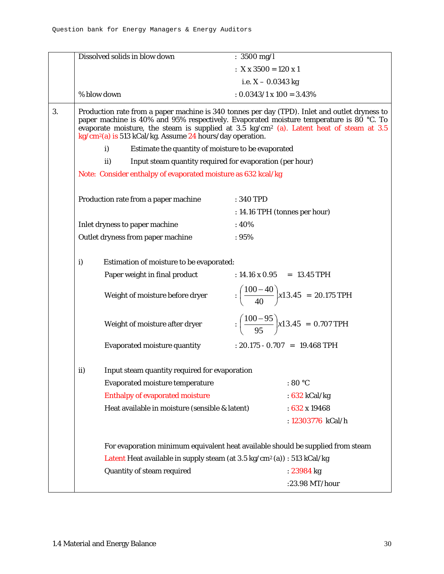|    |     | Dissolved solids in blow down                                                       | : $3500 \text{ mg/l}$                                                                                                                                                                                                                                                                            |
|----|-----|-------------------------------------------------------------------------------------|--------------------------------------------------------------------------------------------------------------------------------------------------------------------------------------------------------------------------------------------------------------------------------------------------|
|    |     |                                                                                     | : $X \times 3500 = 120 \times 1$                                                                                                                                                                                                                                                                 |
|    |     |                                                                                     | i.e. $X - 0.0343$ kg                                                                                                                                                                                                                                                                             |
|    |     | % blow down                                                                         | $: 0.0343/1 \times 100 = 3.43\%$                                                                                                                                                                                                                                                                 |
| 3. |     | $kg/cm2(a)$ is 513 kCal/kg. Assume 24 hours/day operation.                          | Production rate from a paper machine is 340 tonnes per day (TPD). Inlet and outlet dryness to<br>paper machine is 40% and 95% respectively. Evaporated moisture temperature is 80 °C. To<br>evaporate moisture, the steam is supplied at 3.5 kg/cm <sup>2</sup> (a). Latent heat of steam at 3.5 |
|    |     | $\mathbf{i}$<br>Estimate the quantity of moisture to be evaporated                  |                                                                                                                                                                                                                                                                                                  |
|    |     | Input steam quantity required for evaporation (per hour)<br>ii)                     |                                                                                                                                                                                                                                                                                                  |
|    |     | Note: Consider enthalpy of evaporated moisture as 632 kcal/kg                       |                                                                                                                                                                                                                                                                                                  |
|    |     | Production rate from a paper machine                                                | : 340 TPD                                                                                                                                                                                                                                                                                        |
|    |     | Inlet dryness to paper machine                                                      | : 14.16 TPH (tonnes per hour)<br>:40%                                                                                                                                                                                                                                                            |
|    |     | Outlet dryness from paper machine                                                   | :95%                                                                                                                                                                                                                                                                                             |
|    |     |                                                                                     |                                                                                                                                                                                                                                                                                                  |
|    | i)  | Estimation of moisture to be evaporated:                                            |                                                                                                                                                                                                                                                                                                  |
|    |     | Paper weight in final product                                                       | : $14.16 \times 0.95 = 13.45 \text{ TPH}$                                                                                                                                                                                                                                                        |
|    |     | Weight of moisture before dryer                                                     | $\frac{(100-40)}{40}$ x13.45 = 20.175 TPH                                                                                                                                                                                                                                                        |
|    |     | Weight of moisture after dryer                                                      | $\frac{(100-95)}{95}$ x13.45 = 0.707 TPH                                                                                                                                                                                                                                                         |
|    |     | <b>Evaporated moisture quantity</b>                                                 | : $20.175 - 0.707 = 19.468 \text{ TPH}$                                                                                                                                                                                                                                                          |
|    | ii) | Input steam quantity required for evaporation                                       |                                                                                                                                                                                                                                                                                                  |
|    |     | <b>Evaporated moisture temperature</b>                                              | : $80 °C$                                                                                                                                                                                                                                                                                        |
|    |     | <b>Enthalpy of evaporated moisture</b>                                              | : $632$ kCal/kg                                                                                                                                                                                                                                                                                  |
|    |     | Heat available in moisture (sensible & latent)                                      | : $632 \times 19468$                                                                                                                                                                                                                                                                             |
|    |     |                                                                                     | : 12303776 kCal/h                                                                                                                                                                                                                                                                                |
|    |     | Latent Heat available in supply steam (at 3.5 kg/cm <sup>2</sup> (a)) : 513 kCal/kg | For evaporation minimum equivalent heat available should be supplied from steam                                                                                                                                                                                                                  |
|    |     | Quantity of steam required                                                          | : 23984 kg                                                                                                                                                                                                                                                                                       |
|    |     |                                                                                     | :23.98 MT/hour                                                                                                                                                                                                                                                                                   |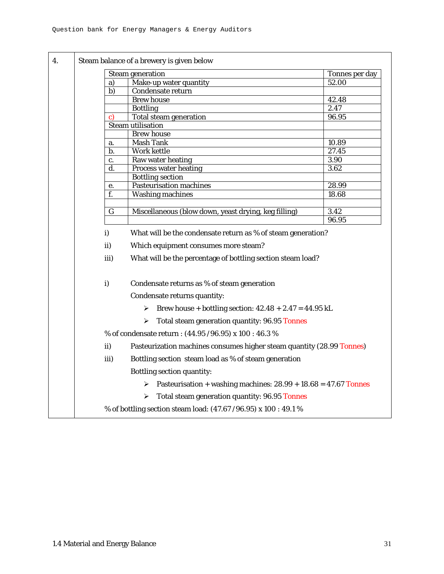|                | <b>Steam generation</b>                                               | Tonnes per day |  |  |  |
|----------------|-----------------------------------------------------------------------|----------------|--|--|--|
| a)             | Make-up water quantity                                                | 52.00          |  |  |  |
| $\overline{b}$ | Condensate return                                                     |                |  |  |  |
|                | <b>Brew house</b>                                                     | 42.48          |  |  |  |
|                | <b>Bottling</b>                                                       | 2.47           |  |  |  |
| C)             | <b>Total steam generation</b>                                         | 96.95          |  |  |  |
|                | <b>Steam utilisation</b>                                              |                |  |  |  |
|                | <b>Brew house</b>                                                     |                |  |  |  |
| a.             | <b>Mash Tank</b>                                                      | 10.89          |  |  |  |
| b.             | <b>Work kettle</b>                                                    | 27.45<br>3.90  |  |  |  |
| c.<br>d.       | Raw water heating<br><b>Process water heating</b>                     | 3.62           |  |  |  |
|                | <b>Bottling section</b>                                               |                |  |  |  |
| е.             | <b>Pasteurisation machines</b>                                        | 28.99          |  |  |  |
| f.             | <b>Washing machines</b>                                               | 18.68          |  |  |  |
|                |                                                                       |                |  |  |  |
| $\mathbf G$    | Miscellaneous (blow down, yeast drying, keg filling)                  | 3.42           |  |  |  |
|                |                                                                       | 96.95          |  |  |  |
| i)             | What will be the condensate return as % of steam generation?          |                |  |  |  |
| ii)            | Which equipment consumes more steam?                                  |                |  |  |  |
| iii)           | What will be the percentage of bottling section steam load?           |                |  |  |  |
| $\mathbf{i}$   | Condensate returns as % of steam generation                           |                |  |  |  |
|                | Condensate returns quantity:                                          |                |  |  |  |
|                | Erew house + bottling section: $42.48 + 2.47 = 44.95$ kL              |                |  |  |  |
|                | Total steam generation quantity: 96.95 Tonnes<br>➤                    |                |  |  |  |
|                | % of condensate return : (44.95 / 96.95) x 100 : 46.3 %               |                |  |  |  |
| ii)            | Pasteurization machines consumes higher steam quantity (28.99 Tonnes) |                |  |  |  |
| iii)           | Bottling section steam load as % of steam generation                  |                |  |  |  |
|                | Bottling section quantity:                                            |                |  |  |  |
|                | Pasteurisation + washing machines: $28.99 + 18.68 = 47.67$ Tonnes     |                |  |  |  |
|                | Total steam generation quantity: 96.95 Tonnes<br>➤                    |                |  |  |  |
|                | % of bottling section steam load: (47.67 / 96.95) x 100 : 49.1 %      |                |  |  |  |